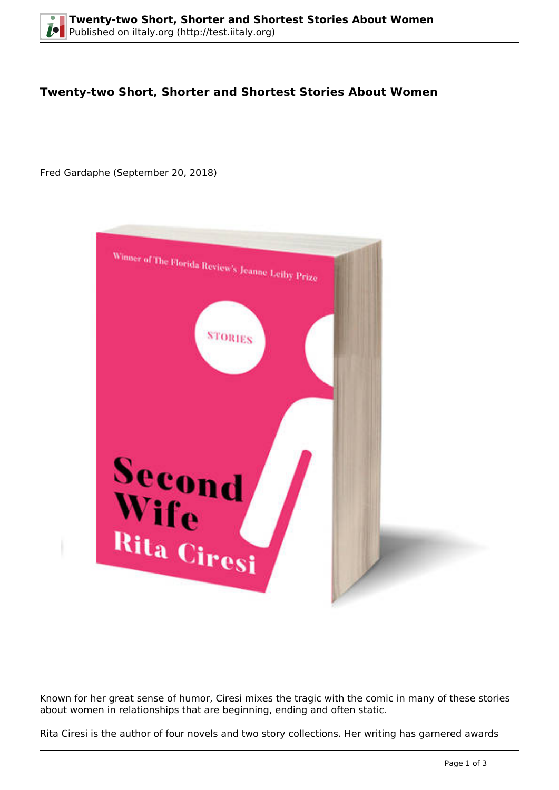## **Twenty-two Short, Shorter and Shortest Stories About Women**

Fred Gardaphe (September 20, 2018)



Known for her great sense of humor, Ciresi mixes the tragic with the comic in many of these stories about women in relationships that are beginning, ending and often static.

Rita Ciresi is the author of four novels and two story collections. Her writing has garnered awards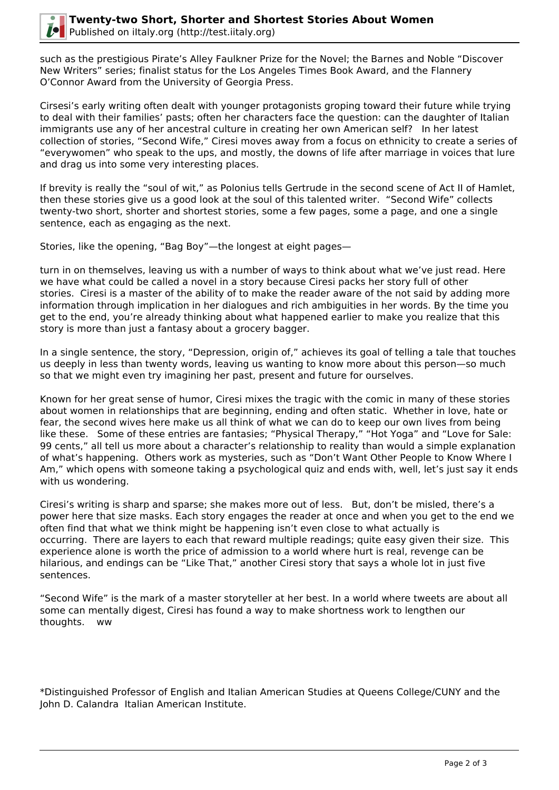

such as the prestigious Pirate's Alley Faulkner Prize for the Novel; the Barnes and Noble "Discover New Writers" series; finalist status for the Los Angeles Times Book Award, and the Flannery O'Connor Award from the University of Georgia Press.

Cirsesi's early writing often dealt with younger protagonists groping toward their future while trying to deal with their families' pasts; often her characters face the question: can the daughter of Italian immigrants use any of her ancestral culture in creating her own American self? In her latest collection of stories, "Second Wife," Ciresi moves away from a focus on ethnicity to create a series of "everywomen" who speak to the ups, and mostly, the downs of life after marriage in voices that lure and drag us into some very interesting places.

If brevity is really the "soul of wit," as Polonius tells Gertrude in the second scene of Act II of Hamlet, then these stories give us a good look at the soul of this talented writer. "Second Wife" collects twenty-two short, shorter and shortest stories, some a few pages, some a page, and one a single sentence, each as engaging as the next.

Stories, like the opening, "Bag Boy"—the longest at eight pages—

turn in on themselves, leaving us with a number of ways to think about what we've just read. Here we have what could be called a novel in a story because Ciresi packs her story full of other stories. Ciresi is a master of the ability of to make the reader aware of the not said by adding more information through implication in her dialogues and rich ambiguities in her words. By the time you get to the end, you're already thinking about what happened earlier to make you realize that this story is more than just a fantasy about a grocery bagger.

In a single sentence, the story, "Depression, origin of," achieves its goal of telling a tale that touches us deeply in less than twenty words, leaving us wanting to know more about this person—so much so that we might even try imagining her past, present and future for ourselves.

Known for her great sense of humor, Ciresi mixes the tragic with the comic in many of these stories about women in relationships that are beginning, ending and often static. Whether in love, hate or fear, the second wives here make us all think of what we can do to keep our own lives from being like these. Some of these entries are fantasies; "Physical Therapy," "Hot Yoga" and "Love for Sale: 99 cents," all tell us more about a character's relationship to reality than would a simple explanation of what's happening. Others work as mysteries, such as "Don't Want Other People to Know Where I Am," which opens with someone taking a psychological quiz and ends with, well, let's just say it ends with us wondering.

Ciresi's writing is sharp and sparse; she makes more out of less. But, don't be misled, there's a power here that size masks. Each story engages the reader at once and when you get to the end we often find that what we think might be happening isn't even close to what actually is occurring. There are layers to each that reward multiple readings; quite easy given their size. This experience alone is worth the price of admission to a world where hurt is real, revenge can be hilarious, and endings can be "Like That," another Ciresi story that says a whole lot in just five sentences.

"Second Wife" is the mark of a master storyteller at her best. In a world where tweets are about all some can mentally digest, Ciresi has found a way to make shortness work to lengthen our thoughts. ww

\*Distinguished Professor of English and Italian American Studies at Queens College/CUNY and the John D. Calandra Italian American Institute.